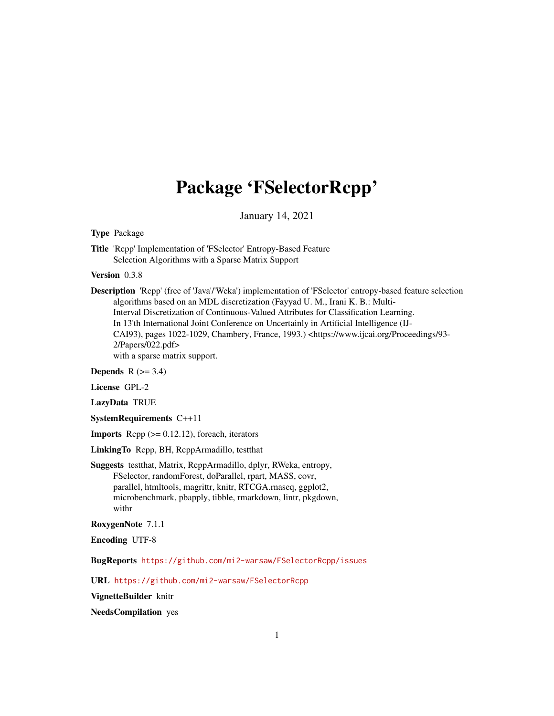## Package 'FSelectorRcpp'

January 14, 2021

<span id="page-0-0"></span>Type Package

Title 'Rcpp' Implementation of 'FSelector' Entropy-Based Feature Selection Algorithms with a Sparse Matrix Support

Version 0.3.8

Description 'Rcpp' (free of 'Java'/'Weka') implementation of 'FSelector' entropy-based feature selection algorithms based on an MDL discretization (Fayyad U. M., Irani K. B.: Multi-Interval Discretization of Continuous-Valued Attributes for Classification Learning. In 13'th International Joint Conference on Uncertainly in Artificial Intelligence (IJ-CAI93), pages 1022-1029, Chambery, France, 1993.) <https://www.ijcai.org/Proceedings/93- 2/Papers/022.pdf> with a sparse matrix support.

Depends  $R$  ( $>= 3.4$ )

License GPL-2

LazyData TRUE

SystemRequirements C++11

**Imports** Rcpp  $(>= 0.12.12)$ , foreach, iterators

LinkingTo Rcpp, BH, RcppArmadillo, testthat

Suggests testthat, Matrix, RcppArmadillo, dplyr, RWeka, entropy, FSelector, randomForest, doParallel, rpart, MASS, covr, parallel, htmltools, magrittr, knitr, RTCGA.rnaseq, ggplot2, microbenchmark, pbapply, tibble, rmarkdown, lintr, pkgdown, withr

RoxygenNote 7.1.1

Encoding UTF-8

BugReports <https://github.com/mi2-warsaw/FSelectorRcpp/issues>

URL <https://github.com/mi2-warsaw/FSelectorRcpp>

VignetteBuilder knitr

NeedsCompilation yes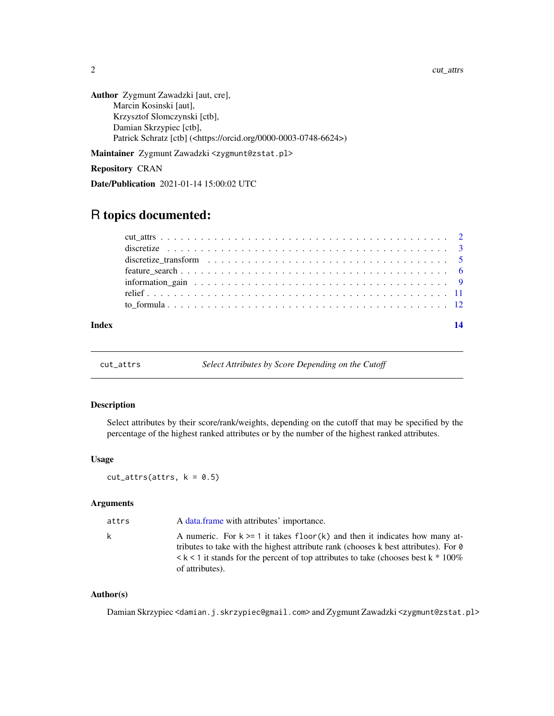<span id="page-1-0"></span>2 cut\_attrs

```
Author Zygmunt Zawadzki [aut, cre],
     Marcin Kosinski [aut],
      Krzysztof Slomczynski [ctb],
      Damian Skrzypiec [ctb],
      Patrick Schratz [ctb] (<https://orcid.org/0000-0003-0748-6624>)
```
Maintainer Zygmunt Zawadzki <zygmunt@zstat.pl>

Repository CRAN

Date/Publication 2021-01-14 15:00:02 UTC

## R topics documented:

cut\_attrs *Select Attributes by Score Depending on the Cutoff*

#### Description

Select attributes by their score/rank/weights, depending on the cutoff that may be specified by the percentage of the highest ranked attributes or by the number of the highest ranked attributes.

#### Usage

```
cut\_attrs(attrs, k = 0.5)
```
#### Arguments

| attrs | A data frame with attributes' importance.                                                                                                                                                                                                                                                      |
|-------|------------------------------------------------------------------------------------------------------------------------------------------------------------------------------------------------------------------------------------------------------------------------------------------------|
| k     | A numeric. For $k \ge 1$ it takes floor(k) and then it indicates how many at-<br>tributes to take with the highest attribute rank (chooses k best attributes). For $\theta$<br>$\leq k \leq 1$ it stands for the percent of top attributes to take (chooses best k $*100\%$<br>of attributes). |

#### Author(s)

Damian Skrzypiec <damian.j.skrzypiec@gmail.com> and Zygmunt Zawadzki <zygmunt@zstat.pl>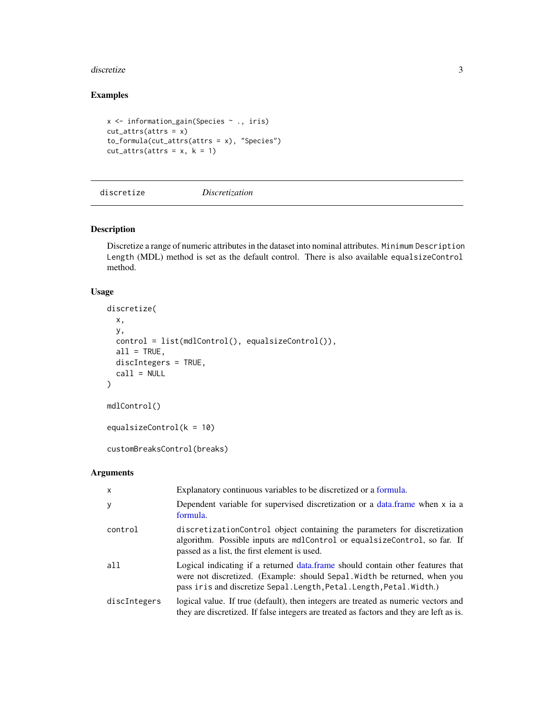#### <span id="page-2-0"></span>discretize 3

#### Examples

```
x <- information_gain(Species ~ ., iris)
cut\_attrs(attrs = x)to_formula(cut_attrs(attrs = x), "Species")
cut\_attrs(attrs = x, k = 1)
```
<span id="page-2-1"></span>discretize *Discretization*

Description

Discretize a range of numeric attributes in the dataset into nominal attributes. Minimum Description Length (MDL) method is set as the default control. There is also available equalsizeControl method.

#### Usage

```
discretize(
 x,
 y,
 control = list(mdlControl(), equalsizeControl()),
 all = TRUE,discIntegers = TRUE,
 call = NULL)
mdlControl()
equalsizeControl(k = 10)
customBreaksControl(breaks)
```
#### Arguments

| x            | Explanatory continuous variables to be discretized or a formula.                                                                                                                                                                    |
|--------------|-------------------------------------------------------------------------------------------------------------------------------------------------------------------------------------------------------------------------------------|
| У            | Dependent variable for supervised discretization or a data frame when x ia a<br>formula.                                                                                                                                            |
| control      | discretization Control object containing the parameters for discretization<br>algorithm. Possible inputs are mdlControl or equal size Control, so far. If<br>passed as a list, the first element is used.                           |
| a11          | Logical indicating if a returned data frame should contain other features that<br>were not discretized. (Example: should Sepal Width be returned, when you<br>pass iris and discretize Sepal. Length, Petal. Length, Petal. Width.) |
| discIntegers | logical value. If true (default), then integers are treated as numeric vectors and<br>they are discretized. If false integers are treated as factors and they are left as is.                                                       |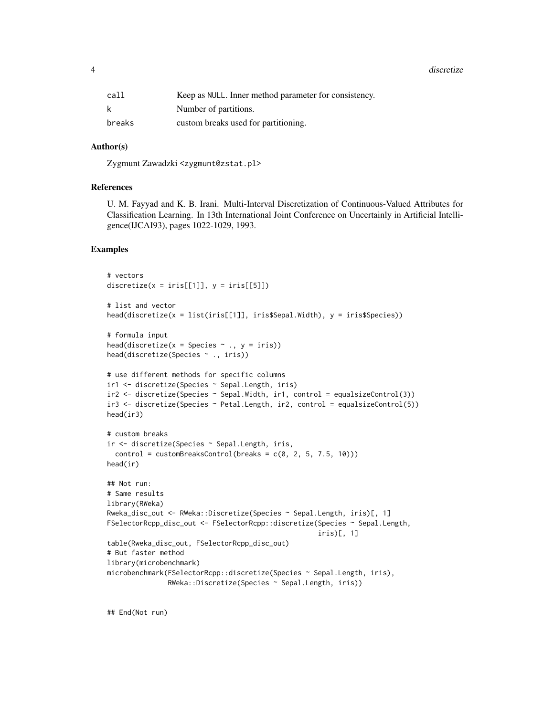4 discretize

| call   | Keep as NULL. Inner method parameter for consistency. |
|--------|-------------------------------------------------------|
| k      | Number of partitions.                                 |
| breaks | custom breaks used for partitioning.                  |

#### Author(s)

Zygmunt Zawadzki <zygmunt@zstat.pl>

#### References

U. M. Fayyad and K. B. Irani. Multi-Interval Discretization of Continuous-Valued Attributes for Classification Learning. In 13th International Joint Conference on Uncertainly in Artificial Intelligence(IJCAI93), pages 1022-1029, 1993.

#### Examples

```
# vectors
discretize(x = \text{iris}[[1]], y = \text{iris}[[5]])
# list and vector
head(discretize(x = list(iris[[1]], iris$Sepal.Width), y = iris$Species))
# formula input
head(discretize(x = Species \sim ., y = iris))
head(discretize(Species ~ ., iris))
# use different methods for specific columns
ir1 <- discretize(Species ~ Sepal.Length, iris)
ir2 <- discretize(Species ~ Sepal.Width, ir1, control = equalsizeControl(3))
ir3 <- discretize(Species ~ Petal.Length, ir2, control = equalsizeControl(5))
head(ir3)
# custom breaks
ir <- discretize(Species ~ Sepal.Length, iris,
  control = custombreaksControl(breaks = c(0, 2, 5, 7.5, 10)))head(ir)
## Not run:
# Same results
library(RWeka)
Rweka_disc_out <- RWeka::Discretize(Species ~ Sepal.Length, iris)[, 1]
FSelectorRcpp_disc_out <- FSelectorRcpp::discretize(Species ~ Sepal.Length,
                                                     iris)[, 1]
table(Rweka_disc_out, FSelectorRcpp_disc_out)
# But faster method
library(microbenchmark)
microbenchmark(FSelectorRcpp::discretize(Species ~ Sepal.Length, iris),
               RWeka::Discretize(Species ~ Sepal.Length, iris))
```
## End(Not run)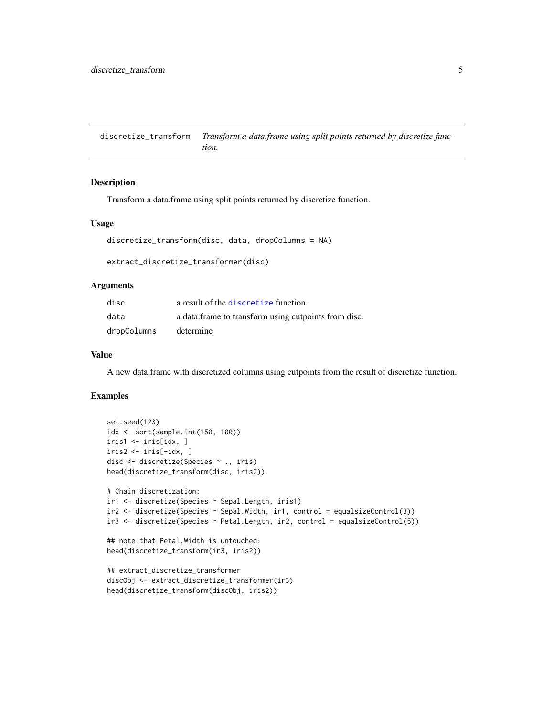<span id="page-4-0"></span>discretize\_transform *Transform a data.frame using split points returned by discretize function.*

#### Description

Transform a data.frame using split points returned by discretize function.

#### Usage

```
discretize_transform(disc, data, dropColumns = NA)
```

```
extract_discretize_transformer(disc)
```
#### Arguments

| disc        | a result of the discretize function.                 |
|-------------|------------------------------------------------------|
| data        | a data frame to transform using cutpoints from disc. |
| dropColumns | determine                                            |

#### Value

A new data.frame with discretized columns using cutpoints from the result of discretize function.

```
set.seed(123)
idx <- sort(sample.int(150, 100))
iris1 <- iris[idx, ]
iris2 <- iris[-idx, ]
disc <- discretize(Species ~ ., iris)
head(discretize_transform(disc, iris2))
# Chain discretization:
ir1 <- discretize(Species ~ Sepal.Length, iris1)
ir2 <- discretize(Species ~ Sepal.Width, ir1, control = equalsizeControl(3))
ir3 <- discretize(Species ~ Petal.Length, ir2, control = equalsizeControl(5))
## note that Petal.Width is untouched:
head(discretize_transform(ir3, iris2))
## extract_discretize_transformer
discObj <- extract_discretize_transformer(ir3)
head(discretize_transform(discObj, iris2))
```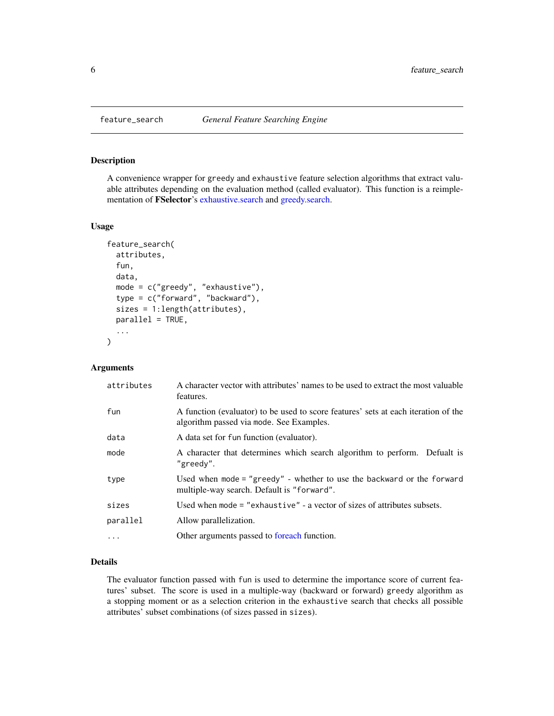<span id="page-5-0"></span>

#### Description

A convenience wrapper for greedy and exhaustive feature selection algorithms that extract valuable attributes depending on the evaluation method (called evaluator). This function is a reimplementation of FSelector's [exhaustive.search](#page-0-0) and [greedy.search.](#page-0-0)

#### Usage

```
feature_search(
  attributes,
  fun,
  data,
  mode = c("greedy", "exhaustive"),
  type = c("forward", "backward"),
  sizes = 1:length(attributes),
  parallel = TRUE,
  ...
)
```
#### Arguments

| attributes | A character vector with attributes' names to be used to extract the most valuable<br>features.                                 |
|------------|--------------------------------------------------------------------------------------------------------------------------------|
| fun        | A function (evaluator) to be used to score features' sets at each iteration of the<br>algorithm passed via mode. See Examples. |
| data       | A data set for fun function (evaluator).                                                                                       |
| mode       | A character that determines which search algorithm to perform. Defualt is<br>"greedy".                                         |
| type       | Used when mode = "greedy" - whether to use the backward or the forward<br>multiple-way search. Default is "forward".           |
| sizes      | Used when mode $=$ "exhaustive" $-$ a vector of sizes of attributes subsets.                                                   |
| parallel   | Allow parallelization.                                                                                                         |
| .          | Other arguments passed to foreach function.                                                                                    |
|            |                                                                                                                                |

#### Details

The evaluator function passed with fun is used to determine the importance score of current features' subset. The score is used in a multiple-way (backward or forward) greedy algorithm as a stopping moment or as a selection criterion in the exhaustive search that checks all possible attributes' subset combinations (of sizes passed in sizes).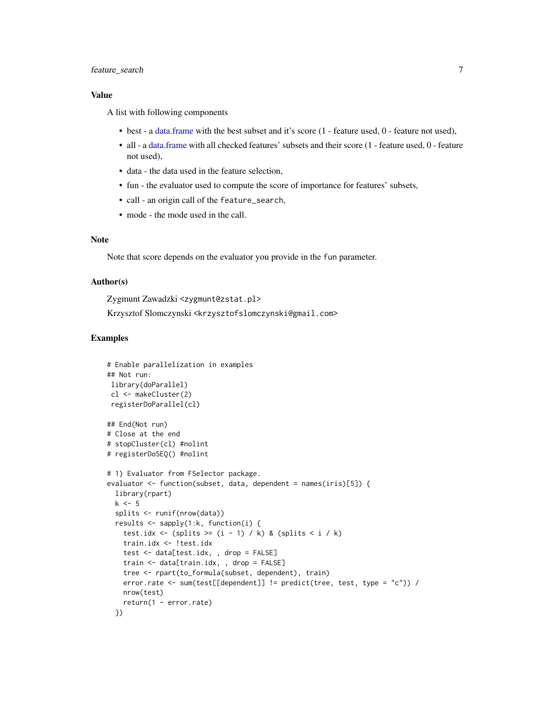#### <span id="page-6-0"></span>feature\_search 7

#### Value

A list with following components

- best a [data.frame](#page-0-0) with the best subset and it's score (1 feature used, 0 feature not used),
- all a [data.frame](#page-0-0) with all checked features' subsets and their score (1 feature used, 0 feature not used),
- data the data used in the feature selection,
- fun the evaluator used to compute the score of importance for features' subsets,
- call an origin call of the feature\_search,
- mode the mode used in the call.

#### Note

Note that score depends on the evaluator you provide in the fun parameter.

#### Author(s)

Zygmunt Zawadzki <zygmunt@zstat.pl> Krzysztof Slomczynski <krzysztofslomczynski@gmail.com>

```
# Enable parallelization in examples
## Not run:
library(doParallel)
cl <- makeCluster(2)
registerDoParallel(cl)
## End(Not run)
# Close at the end
# stopCluster(cl) #nolint
# registerDoSEQ() #nolint
# 1) Evaluator from FSelector package.
evaluator <- function(subset, data, dependent = names(iris)[5]) {
 library(rpart)
 k \leq -5splits <- runif(nrow(data))
 results <- sapply(1:k, function(i) {
   test.idx <- (splits >= (i - 1) / k) & (splits < i / k)
   train.idx <- !test.idx
   test <- data[test.idx, , drop = FALSE]
   train <- data[train.idx, , drop = FALSE]
   tree <- rpart(to_formula(subset, dependent), train)
   error.rate <- sum(test[[dependent]] != predict(tree, test, type = "c")) /
   nrow(test)
   return(1 - error.rate)
 })
```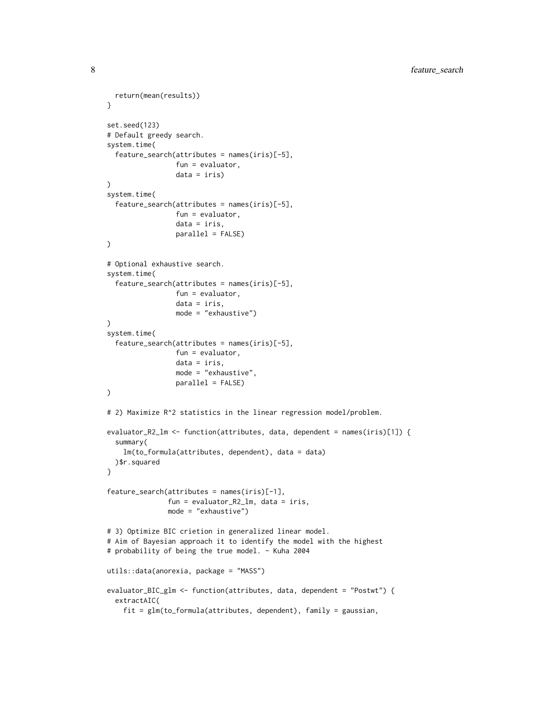```
return(mean(results))
}
set.seed(123)
# Default greedy search.
system.time(
  feature_search(attributes = names(iris)[-5],
                 fun = evaluator,
                 data = iris)\lambdasystem.time(
  feature_search(attributes = names(iris)[-5],
                 fun = evaluator,
                 data = iris,
                 parallel = FALSE)
)
# Optional exhaustive search.
system.time(
  feature_search(attributes = names(iris)[-5],
                 fun = evaluator,
                 data = iris,
                 mode = "exhaustive")
)
system.time(
  feature_search(attributes = names(iris)[-5],
                 fun = evaluator,
                 data = iris,
                 mode = "exhaustive",
                 parallel = FALSE)
)
# 2) Maximize R^2 statistics in the linear regression model/problem.
evaluator_R2_lm <- function(attributes, data, dependent = names(iris)[1]) {
  summary(
    lm(to_formula(attributes, dependent), data = data)
  )$r.squared
}
feature_search(attributes = names(iris)[-1],
               fun = evaluator_R2_lm, data = iris,
               mode = "exhaustive")
# 3) Optimize BIC crietion in generalized linear model.
# Aim of Bayesian approach it to identify the model with the highest
# probability of being the true model. - Kuha 2004
utils::data(anorexia, package = "MASS")
evaluator_BIC_glm <- function(attributes, data, dependent = "Postwt") {
  extractAIC(
    fit = glm(to_formula(attributes, dependent), family = gaussian,
```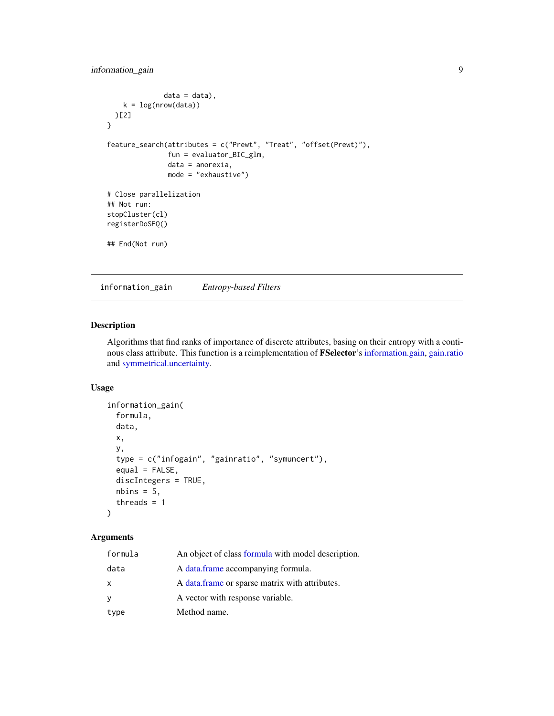```
data = data),
   k = log(nrow(data)))[2]
}
feature_search(attributes = c("Prewt", "Treat", "offset(Prewt)"),
               fun = evaluator_BIC_glm,
               data = anorexia,
               mode = "exhaustive")
# Close parallelization
## Not run:
stopCluster(cl)
registerDoSEQ()
## End(Not run)
```
information\_gain *Entropy-based Filters*

#### Description

Algorithms that find ranks of importance of discrete attributes, basing on their entropy with a continous class attribute. This function is a reimplementation of FSelector's [information.gain,](#page-0-0) [gain.ratio](#page-0-0) and [symmetrical.uncertainty.](#page-0-0)

#### Usage

```
information_gain(
  formula,
 data,
 x,
 y,
  type = c("infogain", "gainratio", "symuncert"),
 equal = FALSE,discIntegers = TRUE,
 nbins = 5,
  threads = 1)
```
#### Arguments

| formula | An object of class formula with model description. |
|---------|----------------------------------------------------|
| data    | A data.frame accompanying formula.                 |
| x       | A data frame or sparse matrix with attributes.     |
| У       | A vector with response variable.                   |
| type    | Method name.                                       |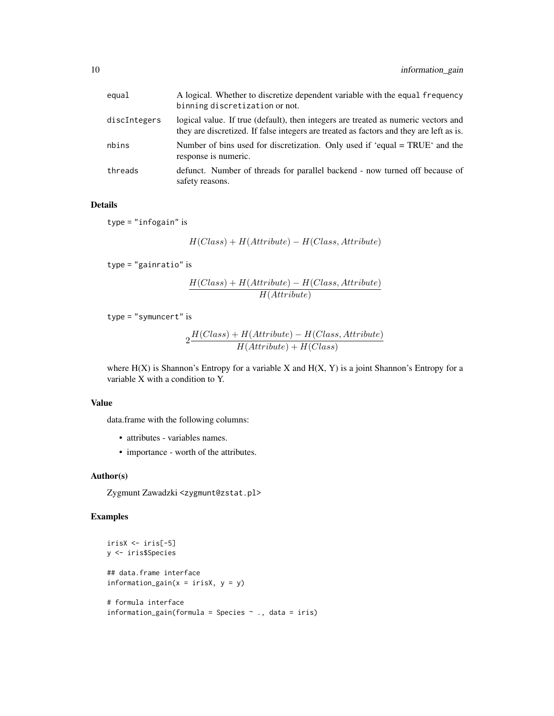| equal        | A logical. Whether to discretize dependent variable with the equal frequency<br>binning discretization or not.                                                                |
|--------------|-------------------------------------------------------------------------------------------------------------------------------------------------------------------------------|
| discIntegers | logical value. If true (default), then integers are treated as numeric vectors and<br>they are discretized. If false integers are treated as factors and they are left as is. |
| nbins        | Number of bins used for discretization. Only used if 'equal = TRUE' and the<br>response is numeric.                                                                           |
| threads      | defunct. Number of threads for parallel backend - now turned off because of<br>safety reasons.                                                                                |

#### Details

type = "infogain" is

$$
H(Class) + H(Attribute) - H(Class,Attribute)\\
$$

type = "gainratio" is

$$
\frac{H(Class) + H(Attribute) - H(Class,Attribute)}{H(Attribute)}
$$

type = "symuncert" is

$$
2\frac{H(Class) + H(Attribute) - H(Class,Attribute)}{H(Attribute) + H(Class)}
$$

where  $H(X)$  is Shannon's Entropy for a variable X and  $H(X, Y)$  is a joint Shannon's Entropy for a variable X with a condition to Y.

#### Value

data.frame with the following columns:

- attributes variables names.
- importance worth of the attributes.

#### Author(s)

Zygmunt Zawadzki <zygmunt@zstat.pl>

```
irisX <- iris[-5]
y <- iris$Species
## data.frame interface
information_gain(x = irisX, y = y)
# formula interface
information_gain(formula = Species \sim ., data = iris)
```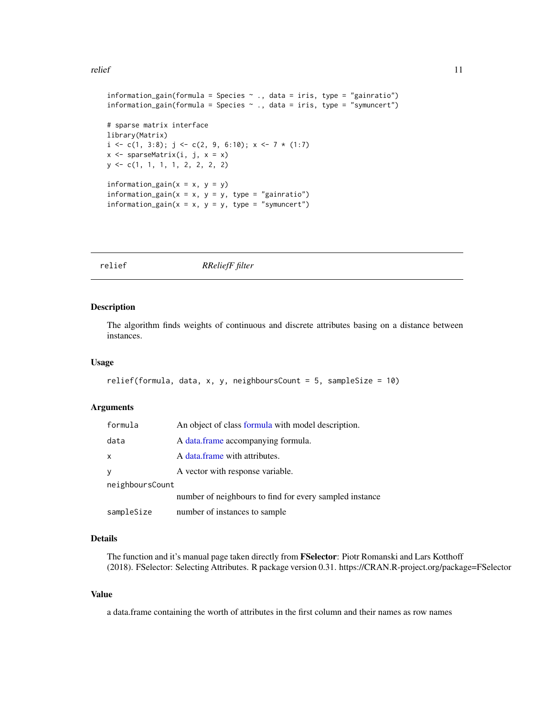<span id="page-10-0"></span>relief and the set of the set of the set of the set of the set of the set of the set of the set of the set of the set of the set of the set of the set of the set of the set of the set of the set of the set of the set of th

```
information_gain(formula = Species \sim ., data = iris, type = "gainratio")
information\_gain(formula = Species ~ ., data = iris, type = "symuncert")# sparse matrix interface
library(Matrix)
i \leq c(1, 3:8); j \leq c(2, 9, 6:10); x \leq 7 * (1:7)x \leq - sparseMatrix(i, j, x = x)
y <- c(1, 1, 1, 1, 2, 2, 2, 2)
information_gain(x = x, y = y)
information_gain(x = x, y = y, type = "gainratio")
information\_gain(x = x, y = y, type = "symuncert")
```
relief *RReliefF filter*

#### Description

The algorithm finds weights of continuous and discrete attributes basing on a distance between instances.

#### Usage

```
relief(formula, data, x, y, neighboursCount = 5, sampleSize = 10)
```
#### Arguments

| formula         | An object of class formula with model description.      |  |
|-----------------|---------------------------------------------------------|--|
| data            | A data.frame accompanying formula.                      |  |
| x               | A data frame with attributes.                           |  |
|                 | A vector with response variable.                        |  |
| neighboursCount |                                                         |  |
|                 | number of neighbours to find for every sampled instance |  |
| sampleSize      | number of instances to sample                           |  |

#### Details

The function and it's manual page taken directly from FSelector: Piotr Romanski and Lars Kotthoff (2018). FSelector: Selecting Attributes. R package version 0.31. https://CRAN.R-project.org/package=FSelector

#### Value

a data.frame containing the worth of attributes in the first column and their names as row names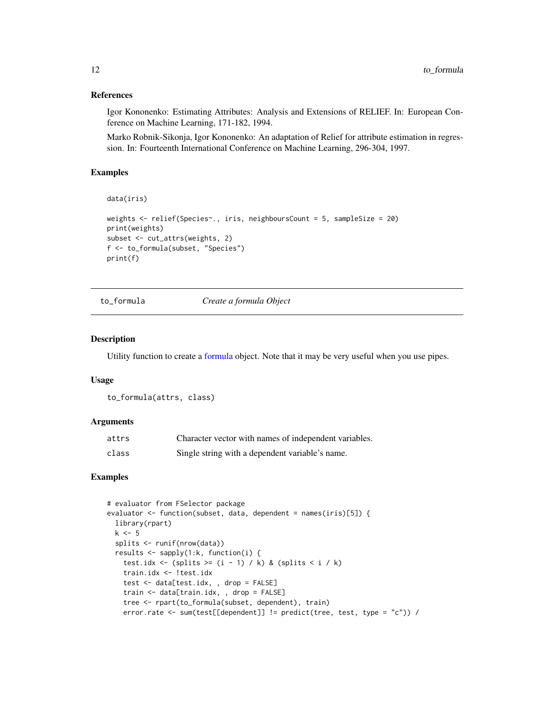#### References

Igor Kononenko: Estimating Attributes: Analysis and Extensions of RELIEF. In: European Conference on Machine Learning, 171-182, 1994.

Marko Robnik-Sikonja, Igor Kononenko: An adaptation of Relief for attribute estimation in regression. In: Fourteenth International Conference on Machine Learning, 296-304, 1997.

#### Examples

```
data(iris)
weights <- relief(Species~., iris, neighboursCount = 5, sampleSize = 20)
print(weights)
subset <- cut_attrs(weights, 2)
f <- to_formula(subset, "Species")
print(f)
```
to\_formula *Create a formula Object*

#### Description

Utility function to create a [formula](#page-0-0) object. Note that it may be very useful when you use pipes.

#### Usage

```
to_formula(attrs, class)
```
#### Arguments

| attrs | Character vector with names of independent variables. |
|-------|-------------------------------------------------------|
| class | Single string with a dependent variable's name.       |

```
# evaluator from FSelector package
evaluator \leq function(subset, data, dependent = names(iris)[5]) {
 library(rpart)
 k \leq -5splits <- runif(nrow(data))
 results <- sapply(1:k, function(i) {
   test.idx <- (splits >= (i - 1) / k) & (splits < i / k)
   train.idx <- !test.idx
   test <- data[test.idx, , drop = FALSE]
   train <- data[train.idx, , drop = FALSE]
   tree <- rpart(to_formula(subset, dependent), train)
   error.rate <- sum(test[[dependent]] != predict(tree, test, type = "c")) /
```
<span id="page-11-0"></span>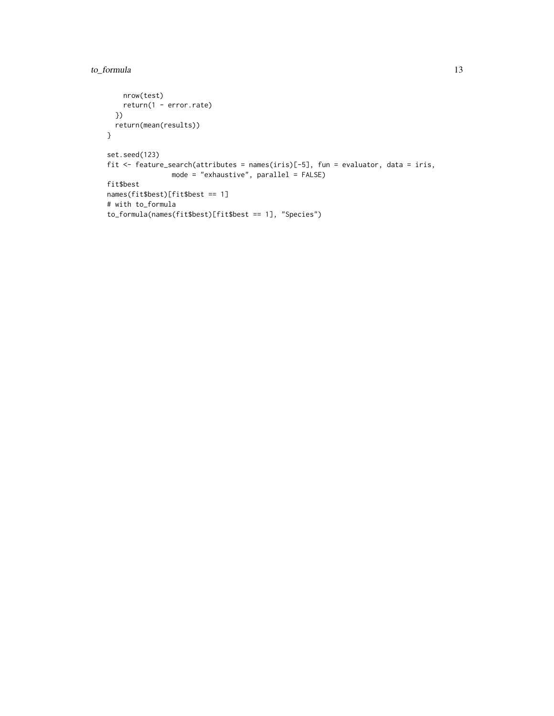### to\_formula 13

```
nrow(test)
   return(1 - error.rate)
  })
  return(mean(results))
}
set.seed(123)
fit <- feature_search(attributes = names(iris)[-5], fun = evaluator, data = iris,
               mode = "exhaustive", parallel = FALSE)
fit$best
names(fit$best)[fit$best == 1]
# with to_formula
to_formula(names(fit$best)[fit$best == 1], "Species")
```